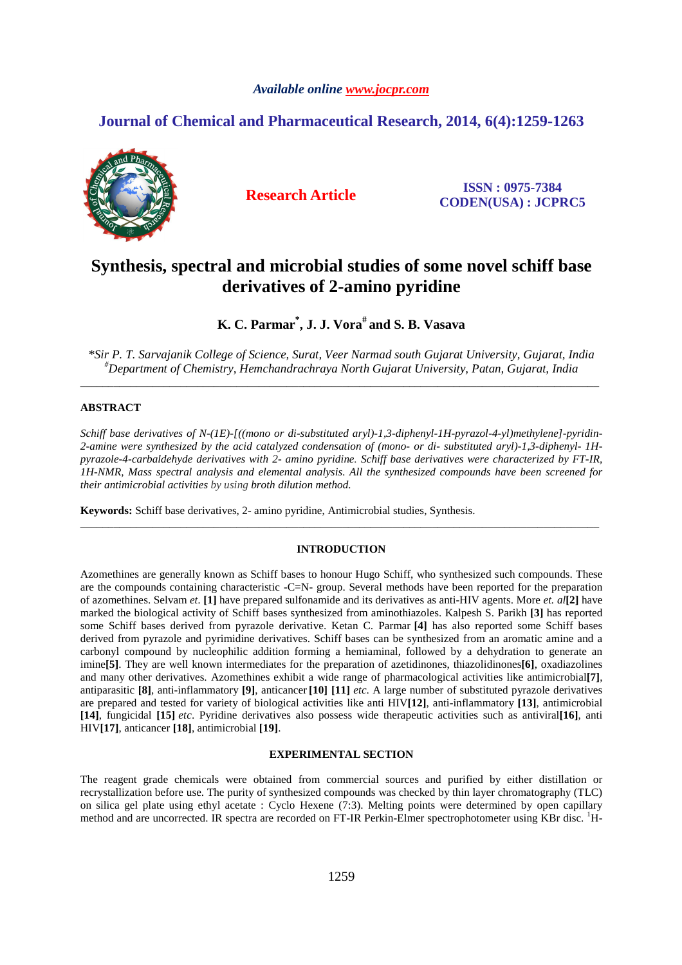### *Available online www.jocpr.com*

## **Journal of Chemical and Pharmaceutical Research, 2014, 6(4):1259-1263**



**Research Article ISSN : 0975-7384 CODEN(USA) : JCPRC5**

# **Synthesis, spectral and microbial studies of some novel schiff base derivatives of 2-amino pyridine**

**K. C. Parmar\* , J. J. Vora# and S. B. Vasava** 

*\*Sir P. T. Sarvajanik College of Science, Surat, Veer Narmad south Gujarat University, Gujarat, India #Department of Chemistry, Hemchandrachraya North Gujarat University, Patan, Gujarat, India*  \_\_\_\_\_\_\_\_\_\_\_\_\_\_\_\_\_\_\_\_\_\_\_\_\_\_\_\_\_\_\_\_\_\_\_\_\_\_\_\_\_\_\_\_\_\_\_\_\_\_\_\_\_\_\_\_\_\_\_\_\_\_\_\_\_\_\_\_\_\_\_\_\_\_\_\_\_\_\_\_\_\_\_\_\_\_\_\_\_\_\_\_\_

### **ABSTRACT**

*Schiff base derivatives of N-(1E)-[((mono or di-substituted aryl)-1,3-diphenyl-1H-pyrazol-4-yl)methylene]-pyridin-2-amine were synthesized by the acid catalyzed condensation of (mono- or di- substituted aryl)-1,3-diphenyl- 1Hpyrazole-4-carbaldehyde derivatives with 2- amino pyridine. Schiff base derivatives were characterized by FT-IR, 1H-NMR, Mass spectral analysis and elemental analysis. All the synthesized compounds have been screened for their antimicrobial activities by using broth dilution method.* 

**Keywords:** Schiff base derivatives, 2- amino pyridine, Antimicrobial studies, Synthesis.

#### **INTRODUCTION**

\_\_\_\_\_\_\_\_\_\_\_\_\_\_\_\_\_\_\_\_\_\_\_\_\_\_\_\_\_\_\_\_\_\_\_\_\_\_\_\_\_\_\_\_\_\_\_\_\_\_\_\_\_\_\_\_\_\_\_\_\_\_\_\_\_\_\_\_\_\_\_\_\_\_\_\_\_\_\_\_\_\_\_\_\_\_\_\_\_\_\_\_\_

Azomethines are generally known as Schiff bases to honour Hugo Schiff, who synthesized such compounds. These are the compounds containing characteristic -C=N- group. Several methods have been reported for the preparation of azomethines. Selvam *et.* **[1]** have prepared sulfonamide and its derivatives as anti-HIV agents. More *et. al***[2]** have marked the biological activity of Schiff bases synthesized from aminothiazoles. Kalpesh S. Parikh **[3]** has reported some Schiff bases derived from pyrazole derivative. Ketan C. Parmar **[4]** has also reported some Schiff bases derived from pyrazole and pyrimidine derivatives. Schiff bases can be synthesized from an aromatic amine and a carbonyl compound by nucleophilic addition forming a hemiaminal, followed by a dehydration to generate an imine<sup>[5]</sup>. They are well known intermediates for the preparation of azetidinones, thiazolidinones<sup>[6]</sup>, oxadiazolines and many other derivatives. Azomethines exhibit a wide range of pharmacological activities like antimicrobial**[7]**, antiparasitic **[8]**, anti-inflammatory **[9]**, anticancer **[10] [11]** *etc*. A large number of substituted pyrazole derivatives are prepared and tested for variety of biological activities like anti HIV**[12]**, anti-inflammatory **[13]**, antimicrobial **[14]**, fungicidal **[15]** *etc*. Pyridine derivatives also possess wide therapeutic activities such as antiviral**[16]**, anti HIV**[17]**, anticancer **[18]**, antimicrobial **[19]**.

#### **EXPERIMENTAL SECTION**

The reagent grade chemicals were obtained from commercial sources and purified by either distillation or recrystallization before use. The purity of synthesized compounds was checked by thin layer chromatography (TLC) on silica gel plate using ethyl acetate : Cyclo Hexene (7:3). Melting points were determined by open capillary method and are uncorrected. IR spectra are recorded on FT-IR Perkin-Elmer spectrophotometer using KBr disc. <sup>1</sup>H-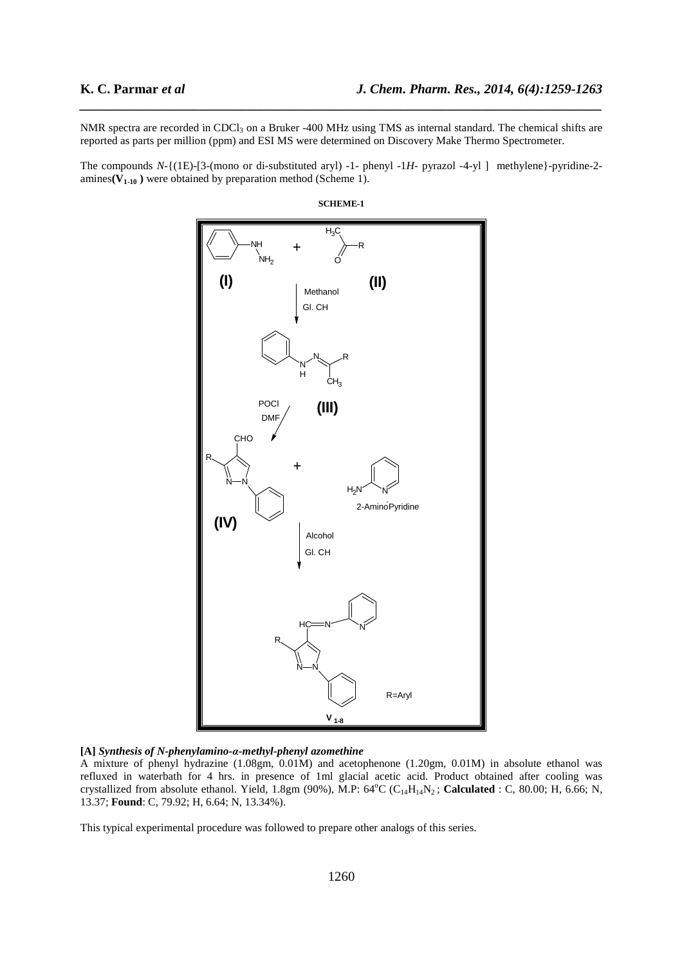NMR spectra are recorded in CDCl<sub>3</sub> on a Bruker -400 MHz using TMS as internal standard. The chemical shifts are reported as parts per million (ppm) and ESI MS were determined on Discovery Make Thermo Spectrometer.

*\_\_\_\_\_\_\_\_\_\_\_\_\_\_\_\_\_\_\_\_\_\_\_\_\_\_\_\_\_\_\_\_\_\_\_\_\_\_\_\_\_\_\_\_\_\_\_\_\_\_\_\_\_\_\_\_\_\_\_\_\_\_\_\_\_\_\_\_\_\_\_\_\_\_\_\_\_\_*

The compounds *N*-{(1E)-[3-(mono or di-substituted aryl) -1- phenyl -1*H*- pyrazol -4-yl ] methylene}-pyridine-2 amines $(V_{1-10})$  were obtained by preparation method (Scheme 1).



**SCHEME-1** 

**[A]** *Synthesis of N-phenylamino-α-methyl-phenyl azomethine*

A mixture of phenyl hydrazine (1.08gm, 0.01M) and acetophenone (1.20gm, 0.01M) in absolute ethanol was refluxed in waterbath for 4 hrs. in presence of 1ml glacial acetic acid. Product obtained after cooling was crystallized from absolute ethanol. Yield, 1.8gm (90%), M.P: 64°C (C<sub>14</sub>H<sub>14</sub>N<sub>2</sub>; Calculated : C, 80.00; H, 6.66; N, 13.37; **Found**: C, 79.92; H, 6.64; N, 13.34%).

This typical experimental procedure was followed to prepare other analogs of this series.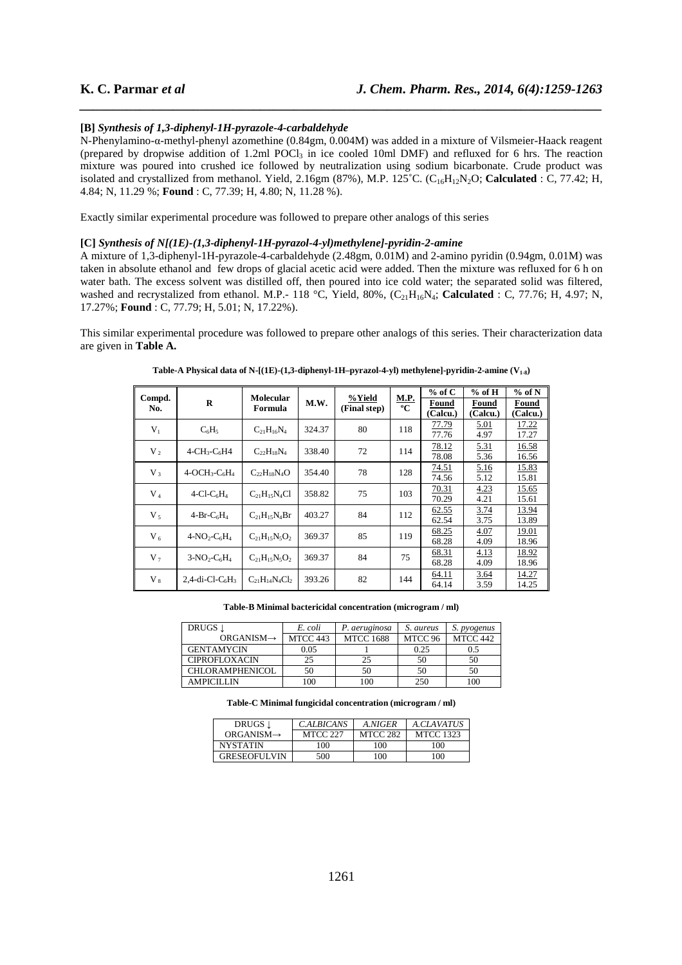#### **[B]** *Synthesis of 1,3-diphenyl-1H-pyrazole-4-carbaldehyde*

N-Phenylamino-α-methyl-phenyl azomethine (0.84gm, 0.004M) was added in a mixture of Vilsmeier-Haack reagent (prepared by dropwise addition of 1.2ml POCl<sub>3</sub> in ice cooled 10ml DMF) and refluxed for 6 hrs. The reaction mixture was poured into crushed ice followed by neutralization using sodium bicarbonate. Crude product was isolated and crystallized from methanol. Yield, 2.16gm (87%), M.P. 125°C. (C<sub>16</sub>H<sub>12</sub>N<sub>2</sub>O; **Calculated** : C, 77.42; H, 4.84; N, 11.29 %; **Found** : C, 77.39; H, 4.80; N, 11.28 %).

*\_\_\_\_\_\_\_\_\_\_\_\_\_\_\_\_\_\_\_\_\_\_\_\_\_\_\_\_\_\_\_\_\_\_\_\_\_\_\_\_\_\_\_\_\_\_\_\_\_\_\_\_\_\_\_\_\_\_\_\_\_\_\_\_\_\_\_\_\_\_\_\_\_\_\_\_\_\_*

Exactly similar experimental procedure was followed to prepare other analogs of this series

#### **[C]** *Synthesis of N[(1E)-(1,3-diphenyl-1H-pyrazol-4-yl)methylene]-pyridin-2-amine*

A mixture of 1,3-diphenyl-1H-pyrazole-4-carbaldehyde (2.48gm, 0.01M) and 2-amino pyridin (0.94gm, 0.01M) was taken in absolute ethanol and few drops of glacial acetic acid were added. Then the mixture was refluxed for 6 h on water bath. The excess solvent was distilled off, then poured into ice cold water; the separated solid was filtered, washed and recrystalized from ethanol. M.P.- 118 °C, Yield, 80%, (C<sub>21</sub>H<sub>16</sub>N<sub>4</sub>; Calculated : C, 77.76; H, 4.97; N, 17.27%; **Found** : C, 77.79; H, 5.01; N, 17.22%).

This similar experimental procedure was followed to prepare other analogs of this series. Their characterization data are given in **Table A.** 

| Compd.<br>No.  | R                                       | <b>Molecular</b><br>Formula | M.W.   | %Yield<br>(Final step) | <b>M.P.</b><br>$\overline{\mathbf{C}}$ | $%$ of C | $%$ of H | $%$ of N |
|----------------|-----------------------------------------|-----------------------------|--------|------------------------|----------------------------------------|----------|----------|----------|
|                |                                         |                             |        |                        |                                        | Found    | Found    | Found    |
|                |                                         |                             |        |                        |                                        | (Calcu.) | (Calcu.) | (Calcu.) |
| $V_1$          | $C_6H_5$                                | $C_{21}H_{16}N_4$           | 324.37 | 80                     | 118                                    | 77.79    | 5.01     | 17.22    |
|                |                                         |                             |        |                        |                                        | 77.76    | 4.97     | 17.27    |
| $V_2$          | $4-CH_3-C_6H4$                          | $C_{22}H_{18}N_4$           | 338.40 | 72                     | 114                                    | 78.12    | 5.31     | 16.58    |
|                |                                         |                             |        |                        |                                        | 78.08    | 5.36     | 16.56    |
| $V_3$          | $4-OCH3-C6H4$                           | $C_{22}H_{18}N_4O$          | 354.40 | 78                     | 128                                    | 74.51    | 5.16     | 15.83    |
|                |                                         |                             |        |                        |                                        | 74.56    | 5.12     | 15.81    |
| $V_4$          | $4$ -Cl-C <sub>6</sub> H <sub>4</sub>   | $C_{21}H_{15}N_4Cl$         | 358.82 | 75                     | 103                                    | 70.31    | 4.23     | 15.65    |
|                |                                         |                             |        |                        |                                        | 70.29    | 4.21     | 15.61    |
| $V_{5}$        | $4-Br-C6H4$                             | $C_{21}H_{15}N_4Br$         | 403.27 | 84                     | 112                                    | 62.55    | 3.74     | 13.94    |
|                |                                         |                             |        |                        |                                        | 62.54    | 3.75     | 13.89    |
| $V_6$          | $4-NO_2-C_6H_4$                         | $C_{21}H_{15}N_5O_2$        | 369.37 | 85                     | 119                                    | 68.25    | 4.07     | 19.01    |
|                |                                         |                             |        |                        |                                        | 68.28    | 4.09     | 18.96    |
| V <sub>7</sub> | $3-NO_2-C_6H_4$                         | $C_{21}H_{15}N_5O_2$        | 369.37 | 84                     | 75                                     | 68.31    | 4.13     | 18.92    |
|                |                                         |                             |        |                        |                                        | 68.28    | 4.09     | 18.96    |
| $V_{8}$        | 2,4-di-Cl-C <sub>6</sub> H <sub>3</sub> | $C_{21}H_{14}N_4Cl_2$       | 393.26 | 82                     | 144                                    | 64.11    | 3.64     | 14.27    |
|                |                                         |                             |        |                        |                                        | 64.14    | 3.59     | 14.25    |

**Table-A Physical data of N-[(1E)-(1,3-diphenyl-1H–pyrazol-4-yl) methylene]-pyridin-2-amine (V1-8)** 

**Table-B Minimal bactericidal concentration (microgram / ml)** 

| DRUGS 1                | E. coli  | P. aeruginosa    | S. aureus | S. pyogenus |
|------------------------|----------|------------------|-----------|-------------|
| $ORGANISM \rightarrow$ | MTCC 443 | <b>MTCC 1688</b> | MTCC 96   | MTCC 442    |
| <b>GENTAMYCIN</b>      | 0.05     |                  | 0.25      | 0.5         |
| <b>CIPROFLOXACIN</b>   | 25       | 25               | 50        | 50          |
| <b>CHLORAMPHENICOL</b> | 50       | 50               | 50        | 50          |
| <b>AMPICILLIN</b>      | 100      | 100              | 250       | 100         |

**Table-C Minimal fungicidal concentration (microgram / ml)** 

| DRUGS 1                | <b>C.ALBICANS</b> | A.NIGER         | A.CLAVATUS       |
|------------------------|-------------------|-----------------|------------------|
| $ORGANISM \rightarrow$ | <b>MTCC 227</b>   | <b>MTCC 282</b> | <b>MTCC 1323</b> |
| <b>NYSTATIN</b>        | 100               | 100             | 100              |
| <b>GRESEOFULVIN</b>    | 500               | 100             | 100              |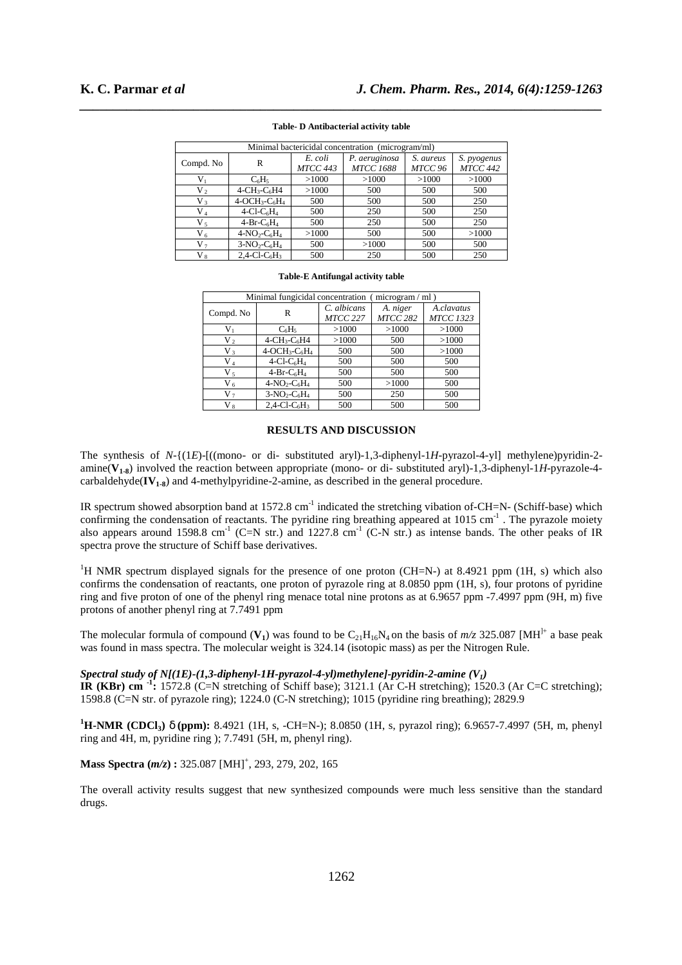| Minimal bactericidal concentration (microgram/ml) |                                                     |                            |                                   |                      |                                |
|---------------------------------------------------|-----------------------------------------------------|----------------------------|-----------------------------------|----------------------|--------------------------------|
| Compd. No                                         | R                                                   | E. coli<br><b>MTCC 443</b> | P. aeruginosa<br><b>MTCC 1688</b> | S. aureus<br>MTCC 96 | S. pyogenus<br><b>MTCC 442</b> |
| $V_1$                                             | $C_6H_5$                                            | >1000                      | >1000                             | >1000                | >1000                          |
| V <sub>2</sub>                                    | $4$ -CH <sub>3</sub> -C <sub>6</sub> H <sub>4</sub> | >1000                      | 500                               | 500                  | 500                            |
| $V_3$                                             | $4-OCH3-C6H4$                                       | 500                        | 500                               | 500                  | 250                            |
| V <sub>4</sub>                                    | $4$ -Cl-C <sub>6</sub> H <sub>4</sub>               | 500                        | 250                               | 500                  | 250                            |
| $V_{5}$                                           | $4-Br-C6H4$                                         | 500                        | 250                               | 500                  | 250                            |
| $V_6$                                             | $4-NO_2-C_6H_4$                                     | >1000                      | 500                               | 500                  | >1000                          |
| V <sub>7</sub>                                    | $3-NO2-C6H4$                                        | 500                        | >1000                             | 500                  | 500                            |
| $V_{8}$                                           | $2,4$ -Cl-C <sub>6</sub> H <sub>3</sub>             | 500                        | 250                               | 500                  | 250                            |

# *\_\_\_\_\_\_\_\_\_\_\_\_\_\_\_\_\_\_\_\_\_\_\_\_\_\_\_\_\_\_\_\_\_\_\_\_\_\_\_\_\_\_\_\_\_\_\_\_\_\_\_\_\_\_\_\_\_\_\_\_\_\_\_\_\_\_\_\_\_\_\_\_\_\_\_\_\_\_* **Table- D Antibacterial activity table**

#### **Table-E Antifungal activity table**

| Minimal fungicidal concentration (<br>$microgram / ml$ ) |                                         |                         |                             |                                |  |  |
|----------------------------------------------------------|-----------------------------------------|-------------------------|-----------------------------|--------------------------------|--|--|
| Compd. No                                                | R                                       | C. albicans<br>MTCC 227 | A. niger<br><b>MTCC 282</b> | A.clavatus<br><b>MTCC 1323</b> |  |  |
|                                                          |                                         |                         |                             |                                |  |  |
| $V_{1}$                                                  | $C_6H_5$                                | >1000                   | >1000                       | >1000                          |  |  |
| V,                                                       | $4-CH_3-C_6H4$                          | >1000                   | 500                         | >1000                          |  |  |
| V3                                                       | $4-OCH3-C6H4$                           | 500                     | 500                         | >1000                          |  |  |
| V4                                                       | $4$ -Cl-C <sub>6</sub> H <sub>4</sub>   | 500                     | 500                         | 500                            |  |  |
| V,                                                       | $4-Br-C6H4$                             | 500                     | 500                         | 500                            |  |  |
| V <sub>6</sub>                                           | $4-NO2-C6H4$                            | 500                     | >1000                       | 500                            |  |  |
| V,                                                       | $3-NO_2-C_6H_4$                         | 500                     | 250                         | 500                            |  |  |
| V 8                                                      | $2.4$ -Cl-C <sub>6</sub> H <sub>3</sub> | 500                     | 500                         | 500                            |  |  |

#### **RESULTS AND DISCUSSION**

The synthesis of *N*-{(1*E*)-[((mono- or di- substituted aryl)-1,3-diphenyl-1*H*-pyrazol-4-yl] methylene)pyridin-2 amine(**V1-8**) involved the reaction between appropriate (mono- or di- substituted aryl)-1,3-diphenyl-1*H*-pyrazole-4 carbaldehyde $(V_{1,8})$  and 4-methylpyridine-2-amine, as described in the general procedure.

IR spectrum showed absorption band at 1572.8 cm<sup>-1</sup> indicated the stretching vibation of-CH=N- (Schiff-base) which confirming the condensation of reactants. The pyridine ring breathing appeared at 1015 cm<sup>-1</sup>. The pyrazole moiety also appears around 1598.8 cm<sup>-1</sup> (C=N str.) and 1227.8 cm<sup>-1</sup> (C-N str.) as intense bands. The other peaks of IR spectra prove the structure of Schiff base derivatives.

<sup>1</sup>H NMR spectrum displayed signals for the presence of one proton (CH=N-) at 8.4921 ppm (1H, s) which also confirms the condensation of reactants, one proton of pyrazole ring at 8.0850 ppm (1H, s), four protons of pyridine ring and five proton of one of the phenyl ring menace total nine protons as at  $6.9657$  ppm -7.4997 ppm (9H, m) five protons of another phenyl ring at 7.7491 ppm

The molecular formula of compound  $(V_1)$  was found to be  $C_{21}H_{16}N_4$  on the basis of  $m/z$  325.087 [MH<sup>]+</sup> a base peak was found in mass spectra. The molecular weight is 324.14 (isotopic mass) as per the Nitrogen Rule.

#### *Spectral study of N[(1E)-(1,3-diphenyl-1H-pyrazol-4-yl)methylene]-pyridin-2-amine (V1)*

**IR (KBr) cm -1:** 1572.8 (C=N stretching of Schiff base); 3121.1 (Ar C-H stretching); 1520.3 (Ar C=C stretching); 1598.8 (C=N str. of pyrazole ring); 1224.0 (C-N stretching); 1015 (pyridine ring breathing); 2829.9

**<sup>1</sup>H-NMR (CDCl3)** δ **(ppm):** 8.4921 (1H, s, -CH=N-); 8.0850 (1H, s, pyrazol ring); 6.9657-7.4997 (5H, m, phenyl ring and 4H, m, pyridine ring ); 7.7491 (5H, m, phenyl ring).

**Mass Spectra (***m***/z):** 325.087 [MH]<sup>+</sup>, 293, 279, 202, 165

The overall activity results suggest that new synthesized compounds were much less sensitive than the standard drugs.